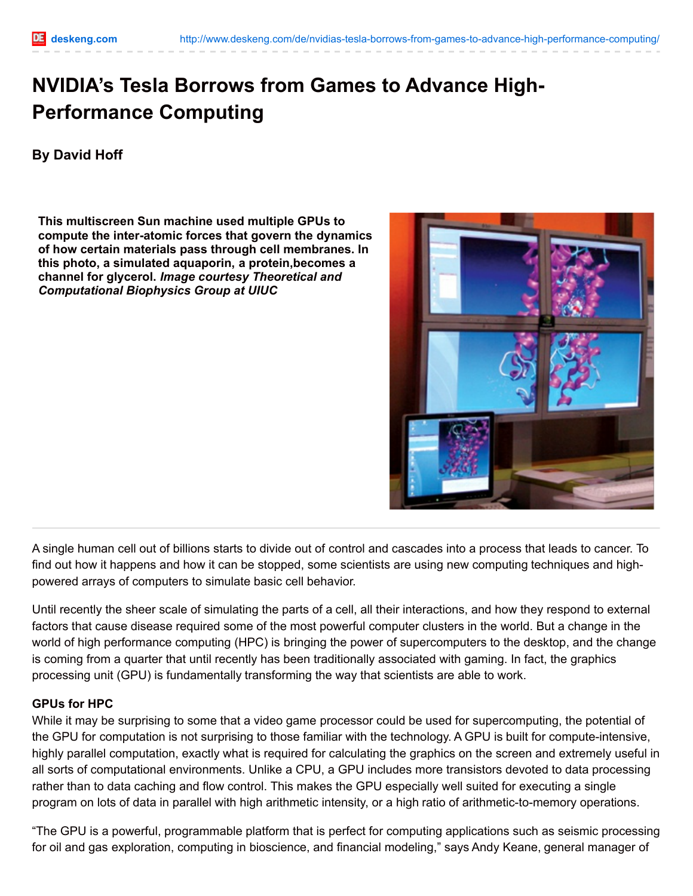# **NVIDIA's Tesla Borrows from Games to Advance High-Performance Computing**

## **By David Hoff**

**This multiscreen Sun machine used multiple GPUs to compute the inter-atomic forces that govern the dynamics of how certain materials pass through cell membranes. In this photo, a simulated aquaporin, a protein,becomes a channel for glycerol.** *Image courtesy Theoretical and Computational Biophysics Group at UIUC*



A single human cell out of billions starts to divide out of control and cascades into a process that leads to cancer. To find out how it happens and how it can be stopped, some scientists are using new computing techniques and highpowered arrays of computers to simulate basic cell behavior.

Until recently the sheer scale of simulating the parts of a cell, all their interactions, and how they respond to external factors that cause disease required some of the most powerful computer clusters in the world. But a change in the world of high performance computing (HPC) is bringing the power of supercomputers to the desktop, and the change is coming from a quarter that until recently has been traditionally associated with gaming. In fact, the graphics processing unit (GPU) is fundamentally transforming the way that scientists are able to work.

### **GPUs for HPC**

While it may be surprising to some that a video game processor could be used for supercomputing, the potential of the GPU for computation is not surprising to those familiar with the technology. A GPU is built for compute-intensive, highly parallel computation, exactly what is required for calculating the graphics on the screen and extremely useful in all sorts of computational environments. Unlike a CPU, a GPU includes more transistors devoted to data processing rather than to data caching and flow control. This makes the GPU especially well suited for executing a single program on lots of data in parallel with high arithmetic intensity, or a high ratio of arithmetic-to-memory operations.

"The GPU is a powerful, programmable platform that is perfect for computing applications such as seismic processing for oil and gas exploration, computing in bioscience, and financial modeling," says Andy Keane, general manager of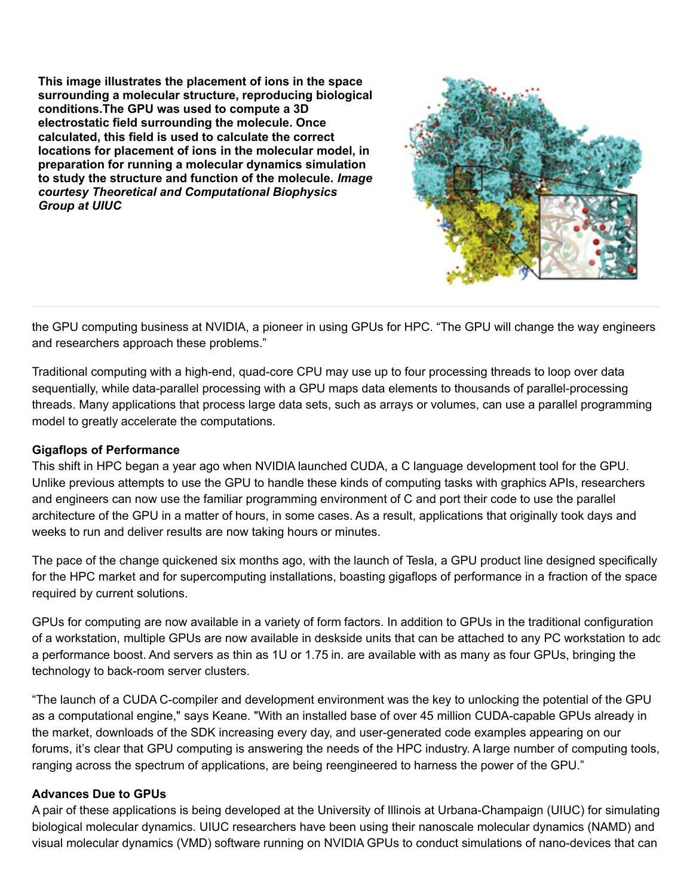**This image illustrates the placement of ions in the space surrounding a molecular structure, reproducing biological conditions.The GPU was used to compute a 3D electrostatic field surrounding the molecule. Once calculated, this field is used to calculate the correct locations for placement of ions in the molecular model, in preparation for running a molecular dynamics simulation to study the structure and function of the molecule.** *Image courtesy Theoretical and Computational Biophysics Group at UIUC*



the GPU computing business at NVIDIA, a pioneer in using GPUs for HPC. "The GPU will change the way engineers and researchers approach these problems."

Traditional computing with a high-end, quad-core CPU may use up to four processing threads to loop over data sequentially, while data-parallel processing with a GPU maps data elements to thousands of parallel-processing threads. Many applications that process large data sets, such as arrays or volumes, can use a parallel programming model to greatly accelerate the computations.

### **Gigaflops of Performance**

This shift in HPC began a year ago when NVIDIA launched CUDA, a C language development tool for the GPU. Unlike previous attempts to use the GPU to handle these kinds of computing tasks with graphics APIs, researchers and engineers can now use the familiar programming environment of C and port their code to use the parallel architecture of the GPU in a matter of hours, in some cases. As a result, applications that originally took days and weeks to run and deliver results are now taking hours or minutes.

The pace of the change quickened six months ago, with the launch of Tesla, a GPU product line designed specifically for the HPC market and for supercomputing installations, boasting gigaflops of performance in a fraction of the space required by current solutions.

GPUs for computing are now available in a variety of form factors. In addition to GPUs in the traditional configuration of a workstation, multiple GPUs are now available in deskside units that can be attached to any PC workstation to add a performance boost. And servers as thin as 1U or 1.75 in. are available with as many as four GPUs, bringing the technology to back-room server clusters.

"The launch of a CUDA C-compiler and development environment was the key to unlocking the potential of the GPU as a computational engine," says Keane. "With an installed base of over 45 million CUDA-capable GPUs already in the market, downloads of the SDK increasing every day, and user-generated code examples appearing on our forums, it's clear that GPU computing is answering the needs of the HPC industry. A large number of computing tools, ranging across the spectrum of applications, are being reengineered to harness the power of the GPU."

### **Advances Due to GPUs**

A pair of these applications is being developed at the University of Illinois at Urbana-Champaign (UIUC) for simulating biological molecular dynamics. UIUC researchers have been using their nanoscale molecular dynamics (NAMD) and visual molecular dynamics (VMD) software running on NVIDIA GPUs to conduct simulations of nano-devices that can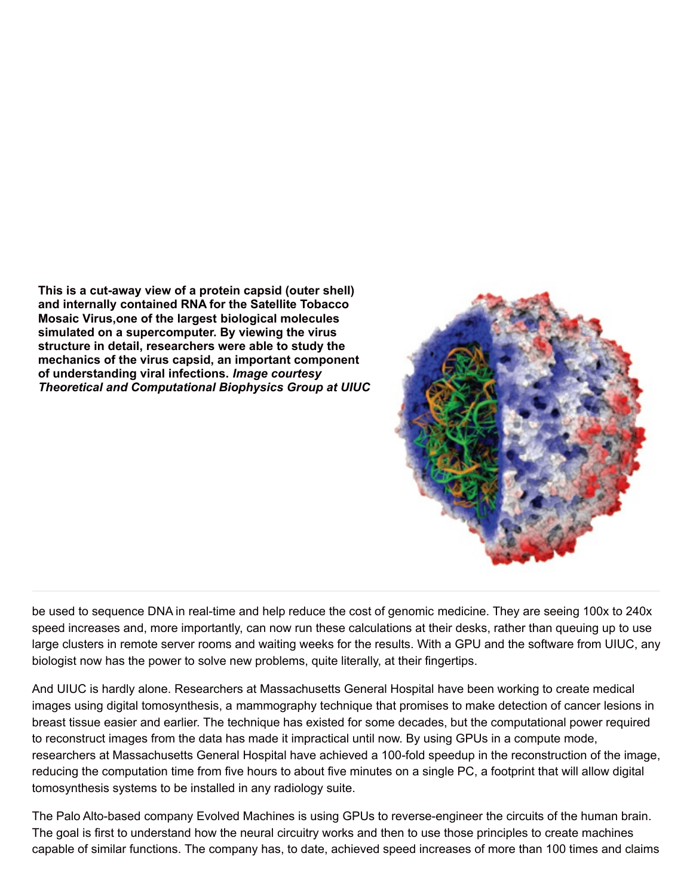**This is a cut-away view of a protein capsid (outer shell) and internally contained RNA for the Satellite Tobacco Mosaic Virus,one of the largest biological molecules simulated on a supercomputer. By viewing the virus structure in detail, researchers were able to study the mechanics of the virus capsid, an important component of understanding viral infections.** *Image courtesy Theoretical and Computational Biophysics Group at UIUC*



be used to sequence DNA in real-time and help reduce the cost of genomic medicine. They are seeing 100x to 240x speed increases and, more importantly, can now run these calculations at their desks, rather than queuing up to use large clusters in remote server rooms and waiting weeks for the results. With a GPU and the software from UIUC, any biologist now has the power to solve new problems, quite literally, at their fingertips.

And UIUC is hardly alone. Researchers at Massachusetts General Hospital have been working to create medical images using digital tomosynthesis, a mammography technique that promises to make detection of cancer lesions in breast tissue easier and earlier. The technique has existed for some decades, but the computational power required to reconstruct images from the data has made it impractical until now. By using GPUs in a compute mode, researchers at Massachusetts General Hospital have achieved a 100-fold speedup in the reconstruction of the image, reducing the computation time from five hours to about five minutes on a single PC, a footprint that will allow digital tomosynthesis systems to be installed in any radiology suite.

The Palo Alto-based company Evolved Machines is using GPUs to reverse-engineer the circuits of the human brain. The goal is first to understand how the neural circuitry works and then to use those principles to create machines capable of similar functions. The company has, to date, achieved speed increases of more than 100 times and claims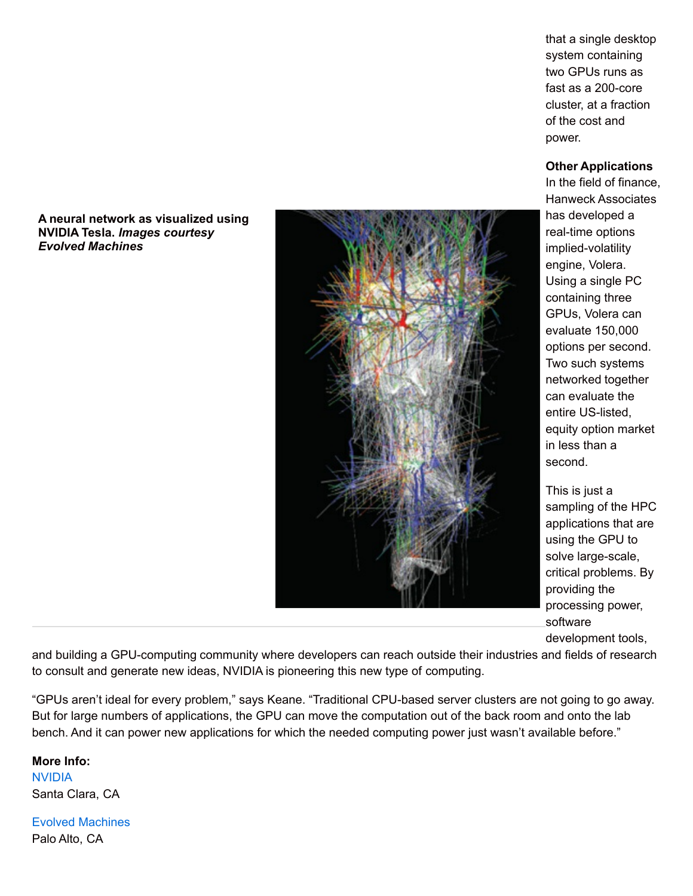**A neural network as visualized using NVIDIA Tesla.** *Images courtesy Evolved Machines*



that a single desktop system containing two GPUs runs as fast as a 200-core cluster, at a fraction of the cost and power.

#### **Other Applications**

In the field of finance, Hanweck Associates has developed a real-time options implied-volatility engine, Volera. Using a single PC containing three GPUs, Volera can evaluate 150,000 options per second. Two such systems networked together can evaluate the entire US-listed, equity option market in less than a second.

This is just a sampling of the HPC applications that are using the GPU to solve large-scale, critical problems. By providing the processing power, software development tools,

and building a GPU-computing community where developers can reach outside their industries and fields of research to consult and generate new ideas, NVIDIA is pioneering this new type of computing.

"GPUs aren't ideal for every problem," says Keane. "Traditional CPU-based server clusters are not going to go away. But for large numbers of applications, the GPU can move the computation out of the back room and onto the lab bench. And it can power new applications for which the needed computing power just wasn't available before."

**More Info:** [NVIDIA](http://www.nvidia.com/) Santa Clara, CA

Evolved [Machines](http://www.evolvedmachines.com/) Palo Alto, CA